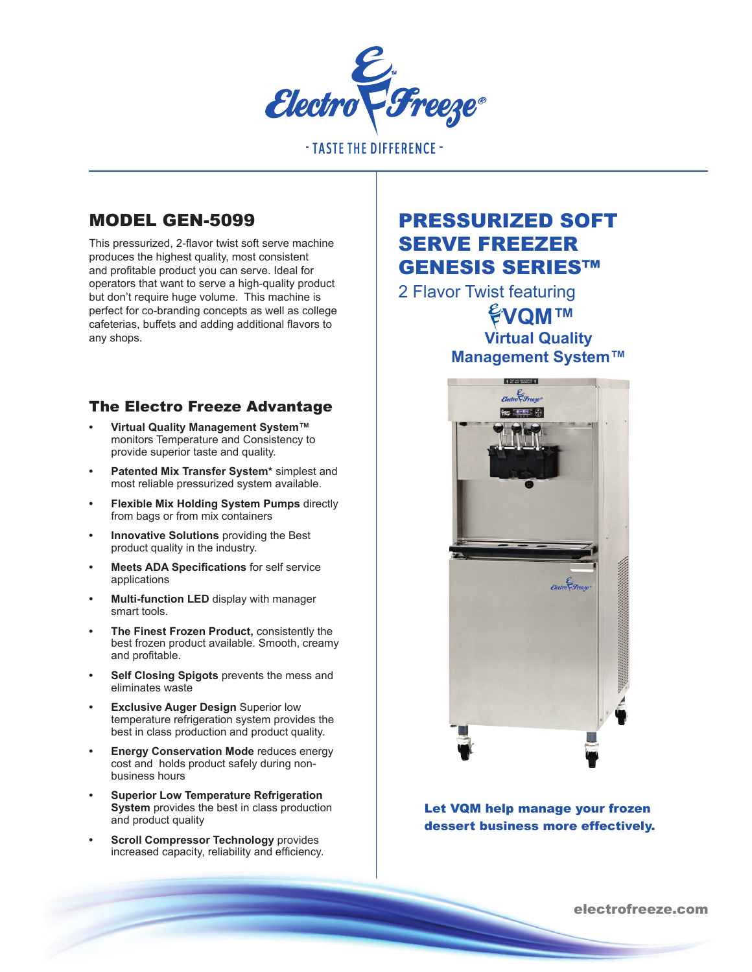

**- TASTE THE DIFFERENCE -**

# MODEL GEN-5099

This pressurized, 2-flavor twist soft serve machine produces the highest quality, most consistent and profitable product you can serve. Ideal for operators that want to serve a high-quality product but don't require huge volume. This machine is perfect for co-branding concepts as well as college cafeterias, buffets and adding additional flavors to any shops.

## The Electro Freeze Advantage

- **• Virtual Quality Management System™**  monitors Temperature and Consistency to provide superior taste and quality.
- **• Patented Mix Transfer System\*** simplest and most reliable pressurized system available.
- **• Flexible Mix Holding System Pumps** directly from bags or from mix containers
- **• Innovative Solutions** providing the Best product quality in the industry.
- **• Meets ADA Specifications** for self service applications
- **• Multi-function LED** display with manager smart tools.
- **• The Finest Frozen Product,** consistently the best frozen product available. Smooth, creamy and profitable.
- **• Self Closing Spigots** prevents the mess and eliminates waste
- **• Exclusive Auger Design** Superior low temperature refrigeration system provides the best in class production and product quality.
- **Energy Conservation Mode reduces energy** cost and holds product safely during nonbusiness hours
- **• Superior Low Temperature Refrigeration System** provides the best in class production and product quality
- **• Scroll Compressor Technology** provides increased capacity, reliability and efficiency.

# PRESSURIZED SOFT SERVE FREEZER GENESIS SERIES™

2 Flavor Twist featuring **EVQM™ Virtual Quality Management System™**



Let VQM help manage your frozen dessert business more effectively.

electrofreeze.com